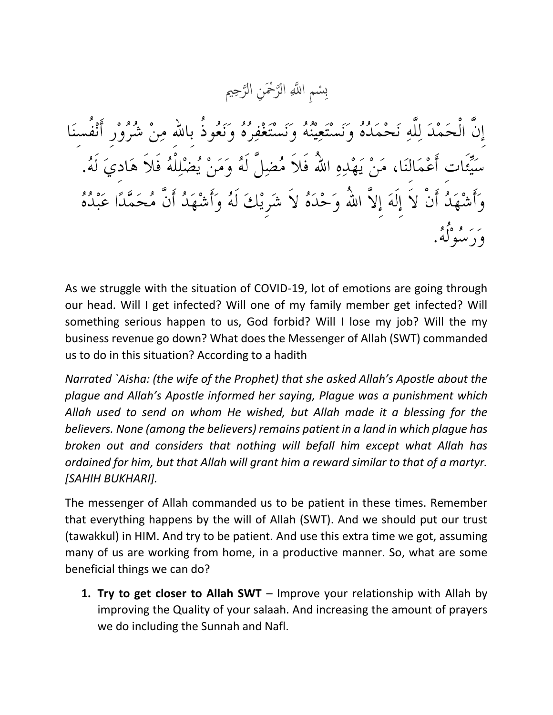سْمِ اللَّهِ الرَّحْمَنِ الرَّحِيم ته<br>ل ت<br>لا  $\overline{\mathbf{C}}$ ِب

إِنَّ الْحَمْدَ لِلَّهِ نَحْمَدُهُ وَنَسْتَعِيْنُهُ وَنَسْتَغْفِرُهُ وَنَعُوذُ بِاللهِ مِنْ شُرُوْرِ أَنْفُسِنَا سَيِّئَات أَعْمَالنَا، مَنْ يَهْدِهِ اللَّهُ فَلاَ مُضِلَّ لَهُ وَمَنْ يُضْلِلْهُ فَلاَ هَاديَ لَهُ. وَأَشْهَدُ أَنْ لاَ إِلَهَ إِلاَّ اللّهُ وَحْدَهُ لاَ شَرِيْكَ لَهُ وَأَشْهَدُ أَنَّ مُحَمَّدًا عَبْدُهُ ے پر وہ دور<br>و د سبولہ کی

As we struggle with the situation of COVID-19, lot of emotions are going through our head. Will I get infected? Will one of my family member get infected? Will something serious happen to us, God forbid? Will I lose my job? Will the my business revenue go down? What does the Messenger of Allah (SWT) commanded us to do in this situation? According to a hadith

*Narrated `Aisha: (the wife of the Prophet) that she asked Allah's Apostle about the plague and Allah's Apostle informed her saying, Plague was a punishment which Allah used to send on whom He wished, but Allah made it a blessing for the believers. None (among the believers) remains patient in a land in which plague has broken out and considers that nothing will befall him except what Allah has ordained for him, but that Allah will grant him a reward similar to that of a martyr. [SAHIH BUKHARI].*

The messenger of Allah commanded us to be patient in these times. Remember that everything happens by the will of Allah (SWT). And we should put our trust (tawakkul) in HIM. And try to be patient. And use this extra time we got, assuming many of us are working from home, in a productive manner. So, what are some beneficial things we can do?

**1. Try to get closer to Allah SWT** – Improve your relationship with Allah by improving the Quality of your salaah. And increasing the amount of prayers we do including the Sunnah and Nafl.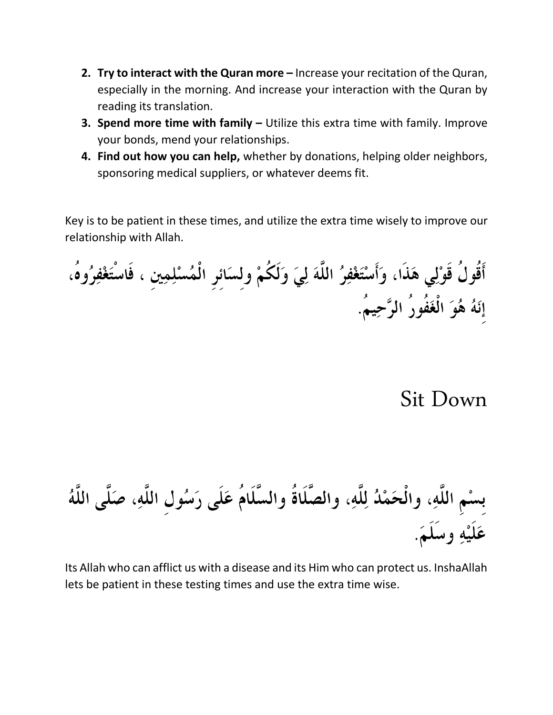- **2. Try to interact with the Quran more –** Increase your recitation of the Quran, especially in the morning. And increase your interaction with the Quran by reading its translation.
- **3. Spend more time with family –** Utilize this extra time with family. Improve your bonds, mend your relationships.
- **4. Find out how you can help,** whether by donations, helping older neighbors, sponsoring medical suppliers, or whatever deems fit.

Key is to be patient in these times, and utilize the extra time wisely to improve our relationship with Allah.

أَقُولُ قَوْلِي هَذَا، وَأَسْتَغْفِرُ اللَّهَ لِيَ وَلَكُمْ ولسَائر الْمُسْلِمِين ، فَاسْتَغْفِرُوهُ، إِنَهُ هُوَ الْغَفُورُ الرَّحِيمُ.

Sit Down

بِسْمِ اللَّهِ، والْحَمْدُ لِلَّهِ، والصَّلَاةُ والسَّلَامُ عَلَى رَسُولِ اللَّهِ، صَلَّى اللَّهُ عَلَيْهِ وسَلَمَ.

Its Allah who can afflict us with a disease and its Him who can protect us. InshaAllah lets be patient in these testing times and use the extra time wise.